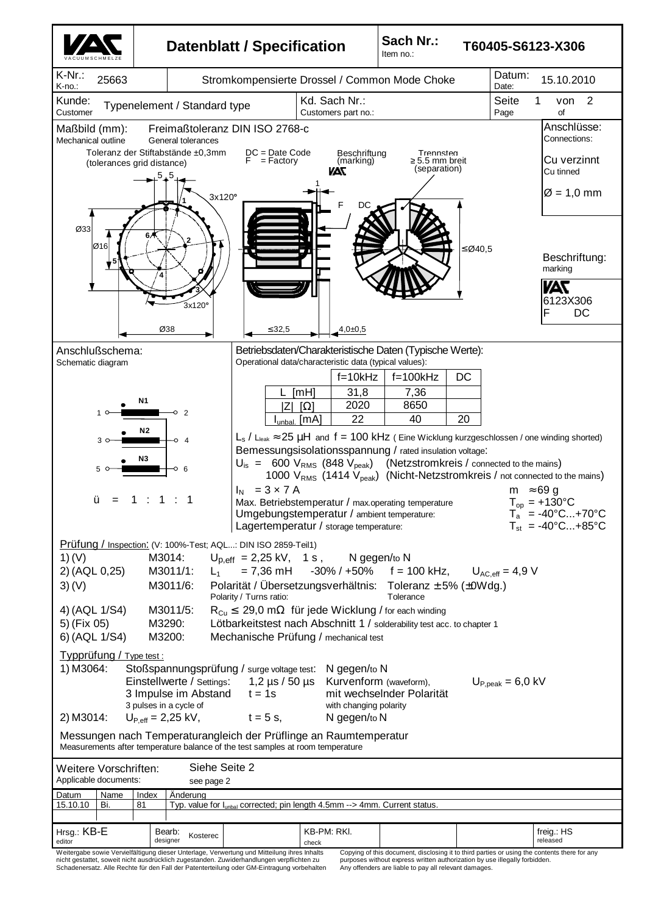

nicht gestattet, soweit nicht ausdrücklich zugestanden. Zuwiderhandlungen verpflichten zu Schadenersatz. Alle Rechte für den Fall der Patenterteilung oder GM-Eintragung vorbehalten

purposes without express written authorization by use illegally forbidden. Any offenders are liable to pay all relevant damages.